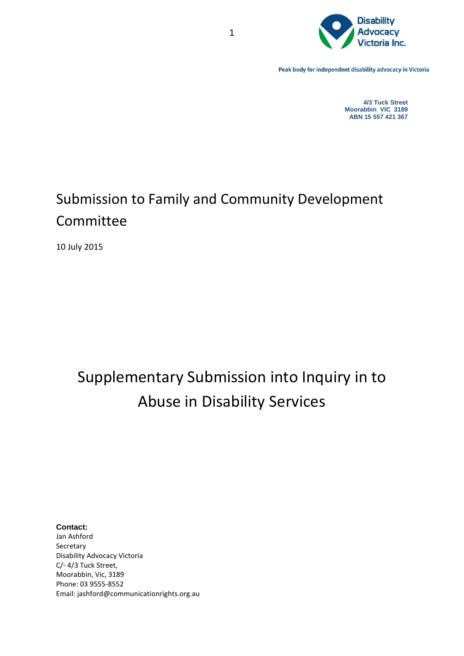

Peak body for independent disability advocacy in Victoria

**4/3 Tuck Street Moorabbin VIC 3189 ABN 15 557 421 367**

# Submission to Family and Community Development Committee

10 July 2015

# Supplementary Submission into Inquiry in to Abuse in Disability Services

**Contact:** Jan Ashford Secretary Disability Advocacy Victoria C/- 4/3 Tuck Street, Moorabbin, Vic, 3189 Phone: 03 9555-8552 Email: jashford@communicationrights.org.au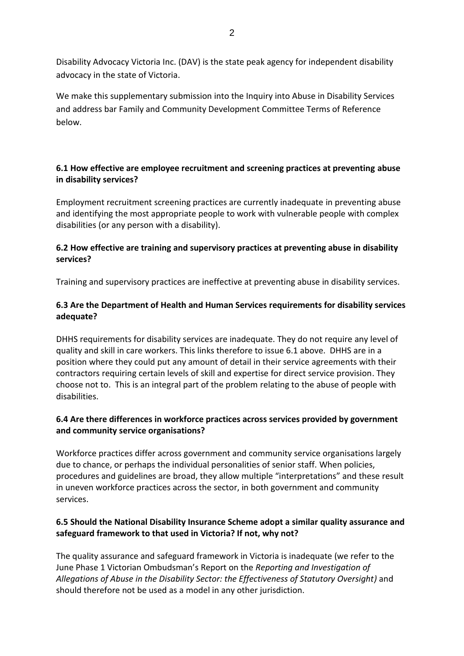Disability Advocacy Victoria Inc. (DAV) is the state peak agency for independent disability advocacy in the state of Victoria.

We make this supplementary submission into the Inquiry into Abuse in Disability Services and address bar Family and Community Development Committee Terms of Reference below.

#### **6.1 How effective are employee recruitment and screening practices at preventing abuse in disability services?**

Employment recruitment screening practices are currently inadequate in preventing abuse and identifying the most appropriate people to work with vulnerable people with complex disabilities (or any person with a disability).

#### **6.2 How effective are training and supervisory practices at preventing abuse in disability services?**

Training and supervisory practices are ineffective at preventing abuse in disability services.

### **6.3 Are the Department of Health and Human Services requirements for disability services adequate?**

DHHS requirements for disability services are inadequate. They do not require any level of quality and skill in care workers. This links therefore to issue 6.1 above. DHHS are in a position where they could put any amount of detail in their service agreements with their contractors requiring certain levels of skill and expertise for direct service provision. They choose not to. This is an integral part of the problem relating to the abuse of people with disabilities.

#### **6.4 Are there differences in workforce practices across services provided by government and community service organisations?**

Workforce practices differ across government and community service organisations largely due to chance, or perhaps the individual personalities of senior staff. When policies, procedures and guidelines are broad, they allow multiple "interpretations" and these result in uneven workforce practices across the sector, in both government and community services.

#### **6.5 Should the National Disability Insurance Scheme adopt a similar quality assurance and safeguard framework to that used in Victoria? If not, why not?**

The quality assurance and safeguard framework in Victoria is inadequate (we refer to the June Phase 1 Victorian Ombudsman's Report on the *Reporting and Investigation of Allegations of Abuse in the Disability Sector: the Effectiveness of Statutory Oversight)* and should therefore not be used as a model in any other jurisdiction.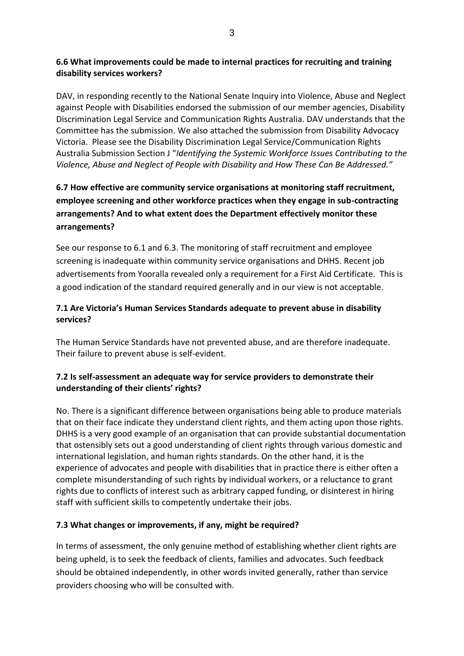### **6.6 What improvements could be made to internal practices for recruiting and training disability services workers?**

DAV, in responding recently to the National Senate Inquiry into Violence, Abuse and Neglect against People with Disabilities endorsed the submission of our member agencies, Disability Discrimination Legal Service and Communication Rights Australia. DAV understands that the Committee has the submission. We also attached the submission from Disability Advocacy Victoria. Please see the Disability Discrimination Legal Service/Communication Rights Australia Submission Section J "*Identifying the Systemic Workforce Issues Contributing to the Violence, Abuse and Neglect of People with Disability and How These Can Be Addressed."*

# **6.7 How effective are community service organisations at monitoring staff recruitment, employee screening and other workforce practices when they engage in sub-contracting arrangements? And to what extent does the Department effectively monitor these arrangements?**

See our response to 6.1 and 6.3. The monitoring of staff recruitment and employee screening is inadequate within community service organisations and DHHS. Recent job advertisements from Yooralla revealed only a requirement for a First Aid Certificate. This is a good indication of the standard required generally and in our view is not acceptable.

## **7.1 Are Victoria's Human Services Standards adequate to prevent abuse in disability services?**

The Human Service Standards have not prevented abuse, and are therefore inadequate. Their failure to prevent abuse is self-evident.

## **7.2 Is self-assessment an adequate way for service providers to demonstrate their understanding of their clients' rights?**

No. There is a significant difference between organisations being able to produce materials that on their face indicate they understand client rights, and them acting upon those rights. DHHS is a very good example of an organisation that can provide substantial documentation that ostensibly sets out a good understanding of client rights through various domestic and international legislation, and human rights standards. On the other hand, it is the experience of advocates and people with disabilities that in practice there is either often a complete misunderstanding of such rights by individual workers, or a reluctance to grant rights due to conflicts of interest such as arbitrary capped funding, or disinterest in hiring staff with sufficient skills to competently undertake their jobs.

## **7.3 What changes or improvements, if any, might be required?**

In terms of assessment, the only genuine method of establishing whether client rights are being upheld, is to seek the feedback of clients, families and advocates. Such feedback should be obtained independently, in other words invited generally, rather than service providers choosing who will be consulted with.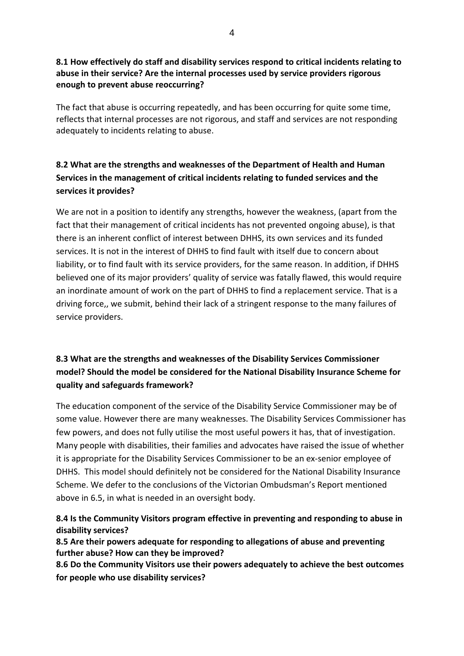#### **8.1 How effectively do staff and disability services respond to critical incidents relating to abuse in their service? Are the internal processes used by service providers rigorous enough to prevent abuse reoccurring?**

The fact that abuse is occurring repeatedly, and has been occurring for quite some time, reflects that internal processes are not rigorous, and staff and services are not responding adequately to incidents relating to abuse.

# **8.2 What are the strengths and weaknesses of the Department of Health and Human Services in the management of critical incidents relating to funded services and the services it provides?**

We are not in a position to identify any strengths, however the weakness, (apart from the fact that their management of critical incidents has not prevented ongoing abuse), is that there is an inherent conflict of interest between DHHS, its own services and its funded services. It is not in the interest of DHHS to find fault with itself due to concern about liability, or to find fault with its service providers, for the same reason. In addition, if DHHS believed one of its major providers' quality of service was fatally flawed, this would require an inordinate amount of work on the part of DHHS to find a replacement service. That is a driving force,, we submit, behind their lack of a stringent response to the many failures of service providers.

## **8.3 What are the strengths and weaknesses of the Disability Services Commissioner model? Should the model be considered for the National Disability Insurance Scheme for quality and safeguards framework?**

The education component of the service of the Disability Service Commissioner may be of some value. However there are many weaknesses. The Disability Services Commissioner has few powers, and does not fully utilise the most useful powers it has, that of investigation. Many people with disabilities, their families and advocates have raised the issue of whether it is appropriate for the Disability Services Commissioner to be an ex-senior employee of DHHS. This model should definitely not be considered for the National Disability Insurance Scheme. We defer to the conclusions of the Victorian Ombudsman's Report mentioned above in 6.5, in what is needed in an oversight body.

## **8.4 Is the Community Visitors program effective in preventing and responding to abuse in disability services?**

**8.5 Are their powers adequate for responding to allegations of abuse and preventing further abuse? How can they be improved?** 

**8.6 Do the Community Visitors use their powers adequately to achieve the best outcomes for people who use disability services?**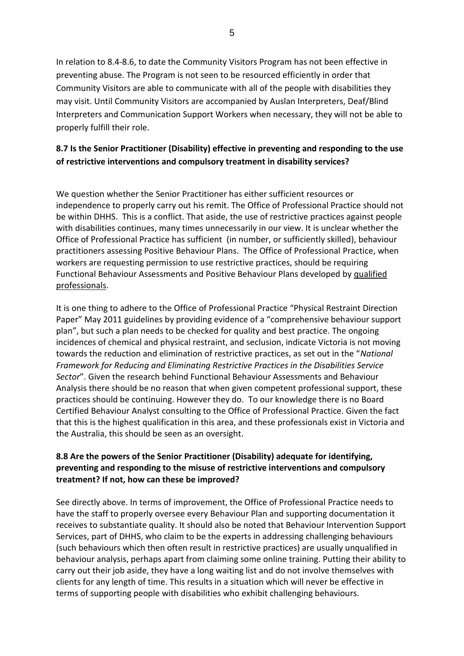In relation to 8.4-8.6, to date the Community Visitors Program has not been effective in preventing abuse. The Program is not seen to be resourced efficiently in order that Community Visitors are able to communicate with all of the people with disabilities they may visit. Until Community Visitors are accompanied by Auslan Interpreters, Deaf/Blind Interpreters and Communication Support Workers when necessary, they will not be able to properly fulfill their role.

## **8.7 Is the Senior Practitioner (Disability) effective in preventing and responding to the use of restrictive interventions and compulsory treatment in disability services?**

We question whether the Senior Practitioner has either sufficient resources or independence to properly carry out his remit. The Office of Professional Practice should not be within DHHS. This is a conflict. That aside, the use of restrictive practices against people with disabilities continues, many times unnecessarily in our view. It is unclear whether the Office of Professional Practice has sufficient (in number, or sufficiently skilled), behaviour practitioners assessing Positive Behaviour Plans. The Office of Professional Practice, when workers are requesting permission to use restrictive practices, should be requiring Functional Behaviour Assessments and Positive Behaviour Plans developed by qualified professionals.

It is one thing to adhere to the Office of Professional Practice "Physical Restraint Direction Paper" May 2011 guidelines by providing evidence of a "comprehensive behaviour support plan", but such a plan needs to be checked for quality and best practice. The ongoing incidences of chemical and physical restraint, and seclusion, indicate Victoria is not moving towards the reduction and elimination of restrictive practices, as set out in the "*National Framework for Reducing and Eliminating Restrictive Practices in the Disabilities Service Sector*". Given the research behind Functional Behaviour Assessments and Behaviour Analysis there should be no reason that when given competent professional support, these practices should be continuing. However they do. To our knowledge there is no Board Certified Behaviour Analyst consulting to the Office of Professional Practice. Given the fact that this is the highest qualification in this area, and these professionals exist in Victoria and the Australia, this should be seen as an oversight.

#### **8.8 Are the powers of the Senior Practitioner (Disability) adequate for identifying, preventing and responding to the misuse of restrictive interventions and compulsory treatment? If not, how can these be improved?**

See directly above. In terms of improvement, the Office of Professional Practice needs to have the staff to properly oversee every Behaviour Plan and supporting documentation it receives to substantiate quality. It should also be noted that Behaviour Intervention Support Services, part of DHHS, who claim to be the experts in addressing challenging behaviours (such behaviours which then often result in restrictive practices) are usually unqualified in behaviour analysis, perhaps apart from claiming some online training. Putting their ability to carry out their job aside, they have a long waiting list and do not involve themselves with clients for any length of time. This results in a situation which will never be effective in terms of supporting people with disabilities who exhibit challenging behaviours.